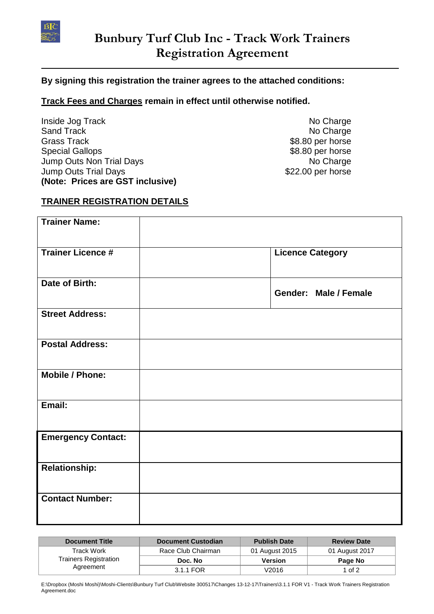

## **By signing this registration the trainer agrees to the attached conditions:**

## **Track Fees and Charges remain in effect until otherwise notified.**

Inside Jog Track No Charge No Charge No Charge Sand Track No Charge No. 2012. The Sand Track No Charge No. 2012. Grass Track **\$8.80 per horse** Special Gallops  $$8.80$  per horse Jump Outs Non Trial Days No Charge No Charge Jump Outs Trial Days **\$22.00 per horse (Note: Prices are GST inclusive)**

# **TRAINER REGISTRATION DETAILS**

| <b>Trainer Name:</b>      |                         |
|---------------------------|-------------------------|
| <b>Trainer Licence #</b>  | <b>Licence Category</b> |
| Date of Birth:            | Gender: Male / Female   |
| <b>Street Address:</b>    |                         |
| <b>Postal Address:</b>    |                         |
| <b>Mobile / Phone:</b>    |                         |
| Email:                    |                         |
| <b>Emergency Contact:</b> |                         |
| <b>Relationship:</b>      |                         |
| <b>Contact Number:</b>    |                         |

| <b>Document Title</b>                                   | <b>Document Custodian</b> | <b>Publish Date</b> | <b>Review Date</b> |
|---------------------------------------------------------|---------------------------|---------------------|--------------------|
| Track Work<br><b>Trainers Registration</b><br>Agreement | Race Club Chairman        | 01 August 2015      | 01 August 2017     |
|                                                         | Doc. No                   | <b>Version</b>      | Page No            |
|                                                         | 3.1.1 FOR                 | V2016               | 1 of 2             |